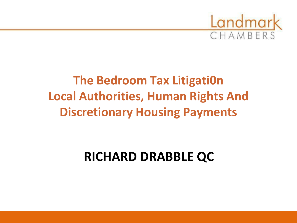

# **The Bedroom Tax Litigati0n Local Authorities, Human Rights And Discretionary Housing Payments**

# **RICHARD DRABBLE QC**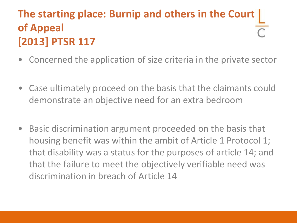## **The starting place: Burnip and others in the Court of Appeal [2013] PTSR 117**

- Concerned the application of size criteria in the private sector
- Case ultimately proceed on the basis that the claimants could demonstrate an objective need for an extra bedroom
- Basic discrimination argument proceeded on the basis that housing benefit was within the ambit of Article 1 Protocol 1; that disability was a status for the purposes of article 14; and that the failure to meet the objectively verifiable need was discrimination in breach of Article 14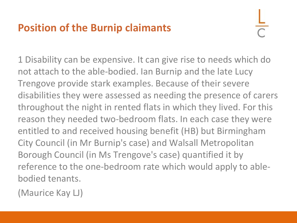## **Position of the Burnip claimants**

1 Disability can be expensive. It can give rise to needs which do not attach to the able-bodied. Ian Burnip and the late Lucy Trengove provide stark examples. Because of their severe disabilities they were assessed as needing the presence of carers throughout the night in rented flats in which they lived. For this reason they needed two-bedroom flats. In each case they were entitled to and received housing benefit (HB) but Birmingham City Council (in Mr Burnip's case) and Walsall Metropolitan Borough Council (in Ms Trengove's case) quantified it by reference to the one-bedroom rate which would apply to ablebodied tenants.

(Maurice Kay LJ)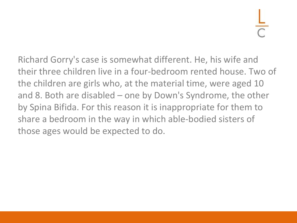Richard Gorry's case is somewhat different. He, his wife and their three children live in a four-bedroom rented house. Two of the children are girls who, at the material time, were aged 10 and 8. Both are disabled – one by Down's Syndrome, the other by Spina Bifida. For this reason it is inappropriate for them to share a bedroom in the way in which able-bodied sisters of those ages would be expected to do.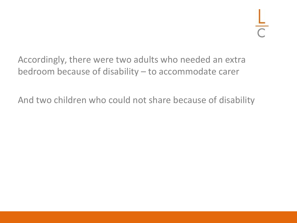Accordingly, there were two adults who needed an extra bedroom because of disability – to accommodate carer

And two children who could not share because of disability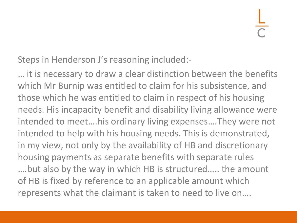Steps in Henderson J's reasoning included:-

… it is necessary to draw a clear distinction between the benefits which Mr Burnip was entitled to claim for his subsistence, and those which he was entitled to claim in respect of his housing needs. His incapacity benefit and disability living allowance were intended to meet….his ordinary living expenses….They were not intended to help with his housing needs. This is demonstrated, in my view, not only by the availability of HB and discretionary housing payments as separate benefits with separate rules ….but also by the way in which HB is structured….. the amount of HB is fixed by reference to an applicable amount which represents what the claimant is taken to need to live on….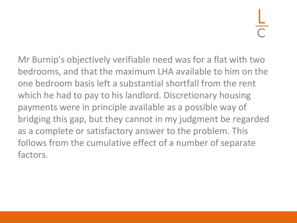Mr Burnip's objectively verifiable need was for a flat with two bedrooms, and that the maximum LHA available to him on the one bedroom basis left a substantial shortfall from the rent which he had to pay to his landlord. Discretionary housing payments were in principle available as a possible way of bridging this gap, but they cannot in my judgment be regarded as a complete or satisfactory answer to the problem. This follows from the cumulative effect of a number of separate factors.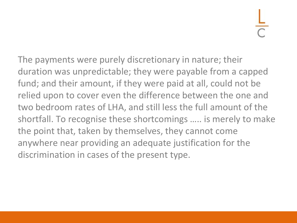The payments were purely discretionary in nature; their duration was unpredictable; they were payable from a capped fund; and their amount, if they were paid at all, could not be relied upon to cover even the difference between the one and two bedroom rates of LHA, and still less the full amount of the shortfall. To recognise these shortcomings ….. is merely to make the point that, taken by themselves, they cannot come anywhere near providing an adequate justification for the discrimination in cases of the present type.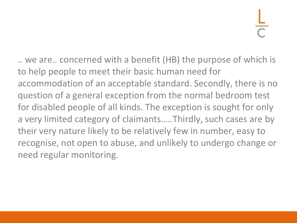.. we are.. concerned with a benefit (HB) the purpose of which is to help people to meet their basic human need for accommodation of an acceptable standard. Secondly, there is no question of a general exception from the normal bedroom test for disabled people of all kinds. The exception is sought for only a very limited category of claimants…..Thirdly, such cases are by their very nature likely to be relatively few in number, easy to recognise, not open to abuse, and unlikely to undergo change or need regular monitoring.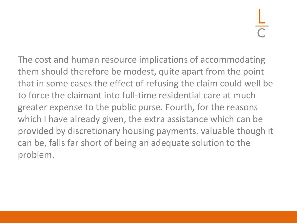The cost and human resource implications of accommodating them should therefore be modest, quite apart from the point that in some cases the effect of refusing the claim could well be to force the claimant into full-time residential care at much greater expense to the public purse. Fourth, for the reasons which I have already given, the extra assistance which can be provided by discretionary housing payments, valuable though it can be, falls far short of being an adequate solution to the problem.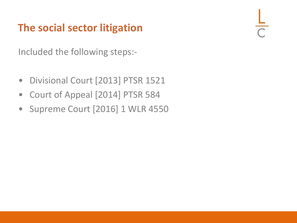## **The social sector litigation**

Included the following steps:-

- Divisional Court [2013] PTSR 1521
- Court of Appeal [2014] PTSR 584
- Supreme Court [2016] 1 WLR 4550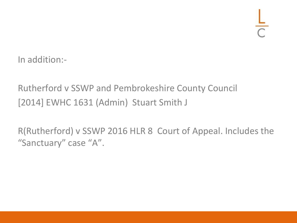In addition:-

### Rutherford v SSWP and Pembrokeshire County Council [2014] EWHC 1631 (Admin) Stuart Smith J

R(Rutherford) v SSWP 2016 HLR 8 Court of Appeal. Includes the "Sanctuary" case "A".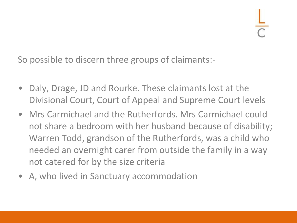So possible to discern three groups of claimants:-

- Daly, Drage, JD and Rourke. These claimants lost at the Divisional Court, Court of Appeal and Supreme Court levels
- Mrs Carmichael and the Rutherfords. Mrs Carmichael could not share a bedroom with her husband because of disability; Warren Todd, grandson of the Rutherfords, was a child who needed an overnight carer from outside the family in a way not catered for by the size criteria
- A, who lived in Sanctuary accommodation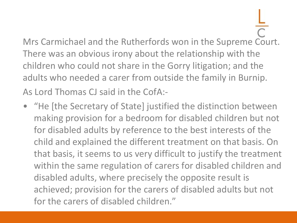Mrs Carmichael and the Rutherfords won in the Supreme Court. There was an obvious irony about the relationship with the children who could not share in the Gorry litigation; and the adults who needed a carer from outside the family in Burnip. As Lord Thomas CJ said in the CofA:-

• "He [the Secretary of State] justified the distinction between making provision for a bedroom for disabled children but not for disabled adults by reference to the best interests of the child and explained the different treatment on that basis. On that basis, it seems to us very difficult to justify the treatment within the same regulation of carers for disabled children and disabled adults, where precisely the opposite result is achieved; provision for the carers of disabled adults but not for the carers of disabled children."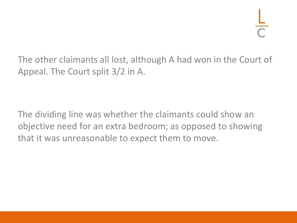The other claimants all lost, although A had won in the Court of Appeal. The Court split 3/2 in A.

The dividing line was whether the claimants could show an objective need for an extra bedroom; as opposed to showing that it was unreasonable to expect them to move.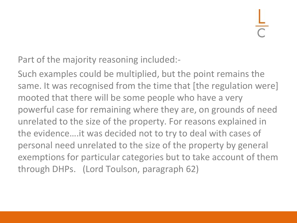Part of the majority reasoning included:-

Such examples could be multiplied, but the point remains the same. It was recognised from the time that [the regulation were] mooted that there will be some people who have a very powerful case for remaining where they are, on grounds of need unrelated to the size of the property. For reasons explained in the evidence….it was decided not to try to deal with cases of personal need unrelated to the size of the property by general exemptions for particular categories but to take account of them through DHPs. (Lord Toulson, paragraph 62)